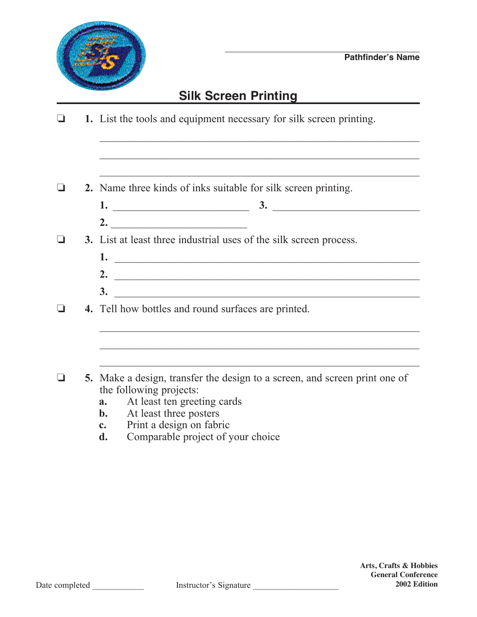

## **Silk Screen Printing**

- $\Box$  1. List the tools and equipment necessary for silk screen printing.  $\mathcal{L}_\text{max} = \frac{1}{2} \sum_{i=1}^n \frac{1}{2} \sum_{i=1}^n \frac{1}{2} \sum_{i=1}^n \frac{1}{2} \sum_{i=1}^n \frac{1}{2} \sum_{i=1}^n \frac{1}{2} \sum_{i=1}^n \frac{1}{2} \sum_{i=1}^n \frac{1}{2} \sum_{i=1}^n \frac{1}{2} \sum_{i=1}^n \frac{1}{2} \sum_{i=1}^n \frac{1}{2} \sum_{i=1}^n \frac{1}{2} \sum_{i=1}^n \frac{1}{2} \sum_{i=1}^n$ **2.** Name three kinds of inks suitable for silk screen printing.  **1.** \_\_\_\_\_\_\_\_\_\_\_\_\_\_\_\_\_\_\_\_\_\_\_\_\_ **3.** \_\_\_\_\_\_\_\_\_\_\_\_\_\_\_\_\_\_\_\_\_\_\_\_\_\_\_ **2.** \_\_\_\_\_\_\_\_\_\_\_\_\_\_\_\_\_\_\_\_\_\_\_\_\_ **3.** List at least three industrial uses of the silk screen process. **1.** \_\_\_\_\_\_\_\_\_\_\_\_\_\_\_\_\_\_\_\_\_\_\_\_\_\_\_\_\_\_\_\_\_\_\_\_\_\_\_\_\_\_\_\_\_\_\_\_\_\_\_\_\_\_\_\_ **2.** \_\_\_\_\_\_\_\_\_\_\_\_\_\_\_\_\_\_\_\_\_\_\_\_\_\_\_\_\_\_\_\_\_\_\_\_\_\_\_\_\_\_\_\_\_\_\_\_\_\_\_\_\_\_\_\_ **3.** \_\_\_\_\_\_\_\_\_\_\_\_\_\_\_\_\_\_\_\_\_\_\_\_\_\_\_\_\_\_\_\_\_\_\_\_\_\_\_\_\_\_\_\_\_\_\_\_\_\_\_\_\_\_\_\_ o **4.** Tell how bottles and round surfaces are printed. \_\_\_\_\_\_\_\_\_\_\_\_\_\_\_\_\_\_\_\_\_\_\_\_\_\_\_\_\_\_\_\_\_\_\_\_\_\_\_\_\_\_\_\_\_\_\_\_\_\_\_\_\_\_\_\_\_\_  $\frac{1}{2}$  ,  $\frac{1}{2}$  ,  $\frac{1}{2}$  ,  $\frac{1}{2}$  ,  $\frac{1}{2}$  ,  $\frac{1}{2}$  ,  $\frac{1}{2}$  ,  $\frac{1}{2}$  ,  $\frac{1}{2}$  ,  $\frac{1}{2}$  ,  $\frac{1}{2}$  ,  $\frac{1}{2}$  ,  $\frac{1}{2}$  ,  $\frac{1}{2}$  ,  $\frac{1}{2}$  ,  $\frac{1}{2}$  ,  $\frac{1}{2}$  ,  $\frac{1}{2}$  ,  $\frac{1$ o **5.** Make a design, transfer the design to a screen, and screen print one of the following projects: **a.** At least ten greeting cards<br>**b.** At least three posters **b.** At least three posters
	-
	- **c.** Print a design on fabric
	- **d.** Comparable project of your choice